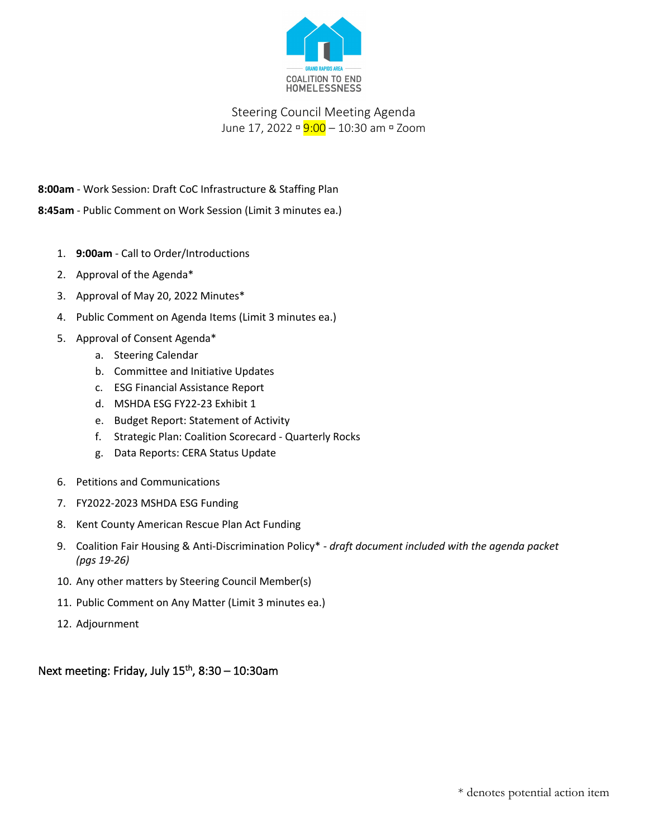

# Steering Council Meeting Agenda June 17, 2022 **9:00** – 10:30 am **P** Zoom

**8:00am** - Work Session: Draft CoC Infrastructure & Staffing Plan

**8:45am** - Public Comment on Work Session (Limit 3 minutes ea.)

- 1. **9:00am** Call to Order/Introductions
- 2. Approval of the Agenda\*
- 3. Approval of May 20, 2022 Minutes\*
- 4. Public Comment on Agenda Items (Limit 3 minutes ea.)
- 5. Approval of Consent Agenda\*
	- a. Steering Calendar
	- b. Committee and Initiative Updates
	- c. ESG Financial Assistance Report
	- d. MSHDA ESG FY22-23 Exhibit 1
	- e. Budget Report: Statement of Activity
	- f. Strategic Plan: Coalition Scorecard Quarterly Rocks
	- g. Data Reports: CERA Status Update
- 6. Petitions and Communications
- 7. FY2022-2023 MSHDA ESG Funding
- 8. Kent County American Rescue Plan Act Funding
- 9. Coalition Fair Housing & Anti-Discrimination Policy\* *draft document included with the agenda packet (pgs 19-26)*
- 10. Any other matters by Steering Council Member(s)
- 11. Public Comment on Any Matter (Limit 3 minutes ea.)
- 12. Adjournment

Next meeting: Friday, July  $15<sup>th</sup>$ , 8:30 – 10:30am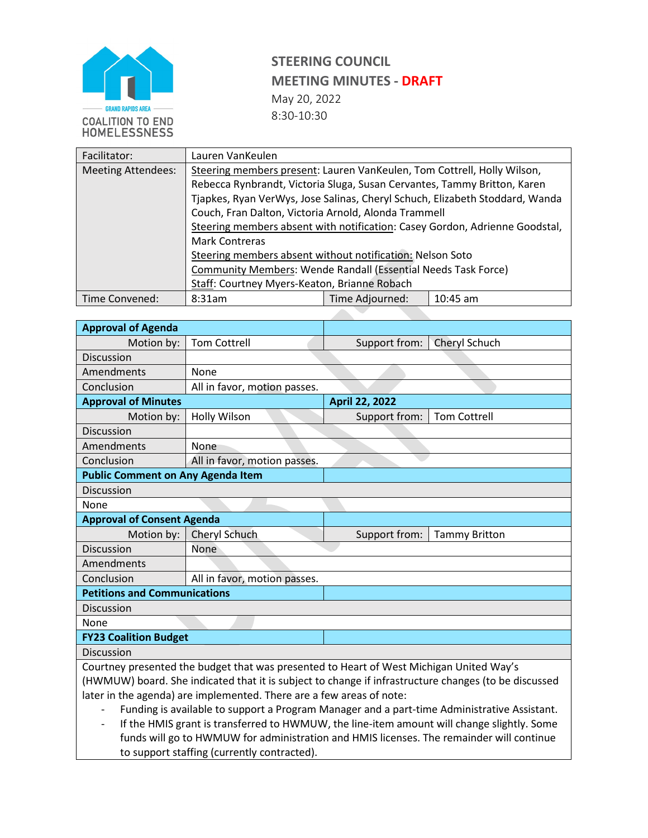

| Facilitator:              | Lauren VanKeulen                                                            |                 |                                                                              |  |  |  |  |
|---------------------------|-----------------------------------------------------------------------------|-----------------|------------------------------------------------------------------------------|--|--|--|--|
| <b>Meeting Attendees:</b> | Steering members present: Lauren VanKeulen, Tom Cottrell, Holly Wilson,     |                 |                                                                              |  |  |  |  |
|                           | Rebecca Rynbrandt, Victoria Sluga, Susan Cervantes, Tammy Britton, Karen    |                 |                                                                              |  |  |  |  |
|                           |                                                                             |                 | Tjapkes, Ryan VerWys, Jose Salinas, Cheryl Schuch, Elizabeth Stoddard, Wanda |  |  |  |  |
|                           | Couch, Fran Dalton, Victoria Arnold, Alonda Trammell                        |                 |                                                                              |  |  |  |  |
|                           | Steering members absent with notification: Casey Gordon, Adrienne Goodstal, |                 |                                                                              |  |  |  |  |
|                           | <b>Mark Contreras</b>                                                       |                 |                                                                              |  |  |  |  |
|                           | Steering members absent without notification: Nelson Soto                   |                 |                                                                              |  |  |  |  |
|                           | <b>Community Members: Wende Randall (Essential Needs Task Force)</b>        |                 |                                                                              |  |  |  |  |
|                           | Staff: Courtney Myers-Keaton, Brianne Robach                                |                 |                                                                              |  |  |  |  |
| Time Convened:            | 8:31am                                                                      | Time Adjourned: | $10:45$ am                                                                   |  |  |  |  |

| <b>Approval of Agenda</b>                |                                                                                                      |                       |                      |  |  |  |  |
|------------------------------------------|------------------------------------------------------------------------------------------------------|-----------------------|----------------------|--|--|--|--|
| Motion by:                               | <b>Tom Cottrell</b>                                                                                  | Support from:         | Cheryl Schuch        |  |  |  |  |
| <b>Discussion</b>                        |                                                                                                      |                       |                      |  |  |  |  |
| Amendments                               | None                                                                                                 |                       |                      |  |  |  |  |
| Conclusion                               | All in favor, motion passes.                                                                         |                       |                      |  |  |  |  |
| <b>Approval of Minutes</b>               |                                                                                                      | <b>April 22, 2022</b> |                      |  |  |  |  |
| Motion by:                               | <b>Holly Wilson</b>                                                                                  | Support from:         | <b>Tom Cottrell</b>  |  |  |  |  |
| <b>Discussion</b>                        |                                                                                                      |                       |                      |  |  |  |  |
| Amendments                               | None                                                                                                 |                       |                      |  |  |  |  |
| Conclusion                               | All in favor, motion passes.                                                                         |                       |                      |  |  |  |  |
| <b>Public Comment on Any Agenda Item</b> |                                                                                                      |                       |                      |  |  |  |  |
| <b>Discussion</b>                        |                                                                                                      |                       |                      |  |  |  |  |
| None                                     |                                                                                                      |                       |                      |  |  |  |  |
| <b>Approval of Consent Agenda</b>        |                                                                                                      |                       |                      |  |  |  |  |
| Motion by:                               | Cheryl Schuch                                                                                        | Support from:         | <b>Tammy Britton</b> |  |  |  |  |
| <b>Discussion</b>                        | None                                                                                                 |                       |                      |  |  |  |  |
| Amendments                               |                                                                                                      |                       |                      |  |  |  |  |
| Conclusion                               | All in favor, motion passes.                                                                         |                       |                      |  |  |  |  |
| <b>Petitions and Communications</b>      |                                                                                                      |                       |                      |  |  |  |  |
| <b>Discussion</b>                        |                                                                                                      |                       |                      |  |  |  |  |
| None                                     |                                                                                                      |                       |                      |  |  |  |  |
| <b>FY23 Coalition Budget</b>             |                                                                                                      |                       |                      |  |  |  |  |
| <b>Discussion</b>                        |                                                                                                      |                       |                      |  |  |  |  |
|                                          | Courtney presented the budget that was presented to Heart of West Michigan United Way's              |                       |                      |  |  |  |  |
|                                          | (HWMUW) board. She indicated that it is subject to change if infrastructure changes (to be discussed |                       |                      |  |  |  |  |
|                                          | later in the agenda) are implemented. There are a few areas of note:                                 |                       |                      |  |  |  |  |

- Funding is available to support a Program Manager and a part-time Administrative Assistant.
- If the HMIS grant is transferred to HWMUW, the line-item amount will change slightly. Some funds will go to HWMUW for administration and HMIS licenses. The remainder will continue to support staffing (currently contracted).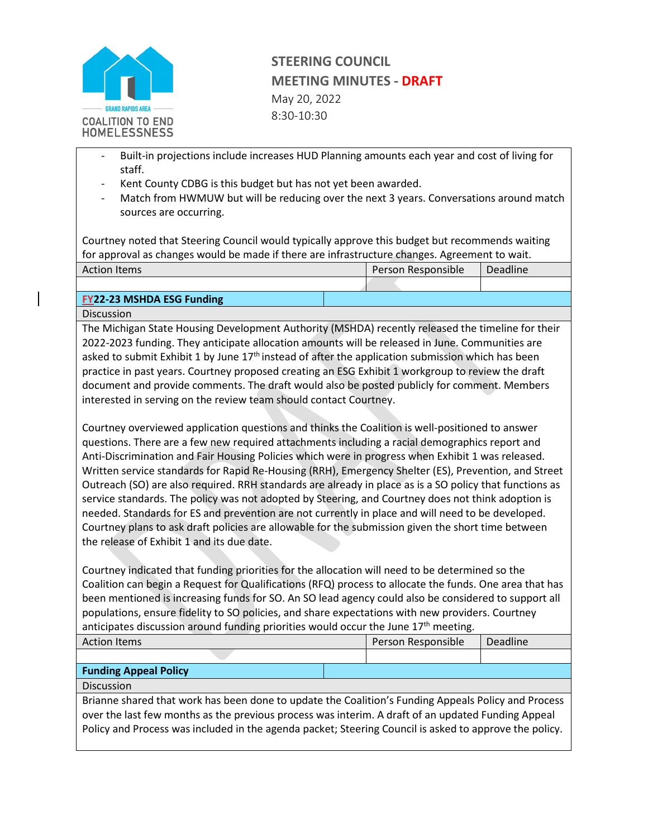

- Built-in projections include increases HUD Planning amounts each year and cost of living for staff.
- Kent County CDBG is this budget but has not yet been awarded.
- Match from HWMUW but will be reducing over the next 3 years. Conversations around match sources are occurring.

Courtney noted that Steering Council would typically approve this budget but recommends waiting for approval as changes would be made if there are infrastructure changes. Agreement to wait.

| <b>Action Items</b>              |  | Person Responsible |  | Deadline |
|----------------------------------|--|--------------------|--|----------|
|                                  |  |                    |  |          |
| <b>FY22-23 MSHDA ESG Funding</b> |  |                    |  |          |

Discussion

The Michigan State Housing Development Authority (MSHDA) recently released the timeline for their 2022-2023 funding. They anticipate allocation amounts will be released in June. Communities are asked to submit Exhibit 1 by June 17<sup>th</sup> instead of after the application submission which has been practice in past years. Courtney proposed creating an ESG Exhibit 1 workgroup to review the draft document and provide comments. The draft would also be posted publicly for comment. Members interested in serving on the review team should contact Courtney.

Courtney overviewed application questions and thinks the Coalition is well-positioned to answer questions. There are a few new required attachments including a racial demographics report and Anti-Discrimination and Fair Housing Policies which were in progress when Exhibit 1 was released. Written service standards for Rapid Re-Housing (RRH), Emergency Shelter (ES), Prevention, and Street Outreach (SO) are also required. RRH standards are already in place as is a SO policy that functions as service standards. The policy was not adopted by Steering, and Courtney does not think adoption is needed. Standards for ES and prevention are not currently in place and will need to be developed. Courtney plans to ask draft policies are allowable for the submission given the short time between the release of Exhibit 1 and its due date.

Courtney indicated that funding priorities for the allocation will need to be determined so the Coalition can begin a Request for Qualifications (RFQ) process to allocate the funds. One area that has been mentioned is increasing funds for SO. An SO lead agency could also be considered to support all populations, ensure fidelity to SO policies, and share expectations with new providers. Courtney anticipates discussion around funding priorities would occur the June  $17<sup>th</sup>$  meeting.

| <b>Action Items</b>          |                                                                                                                                                                                                                                                                                                                     | Person Responsible | Deadline |  |
|------------------------------|---------------------------------------------------------------------------------------------------------------------------------------------------------------------------------------------------------------------------------------------------------------------------------------------------------------------|--------------------|----------|--|
|                              |                                                                                                                                                                                                                                                                                                                     |                    |          |  |
| <b>Funding Appeal Policy</b> |                                                                                                                                                                                                                                                                                                                     |                    |          |  |
| <b>Discussion</b>            |                                                                                                                                                                                                                                                                                                                     |                    |          |  |
|                              | Brianne shared that work has been done to update the Coalition's Funding Appeals Policy and Process<br>over the last few months as the previous process was interim. A draft of an updated Funding Appeal<br>Policy and Process was included in the agenda packet; Steering Council is asked to approve the policy. |                    |          |  |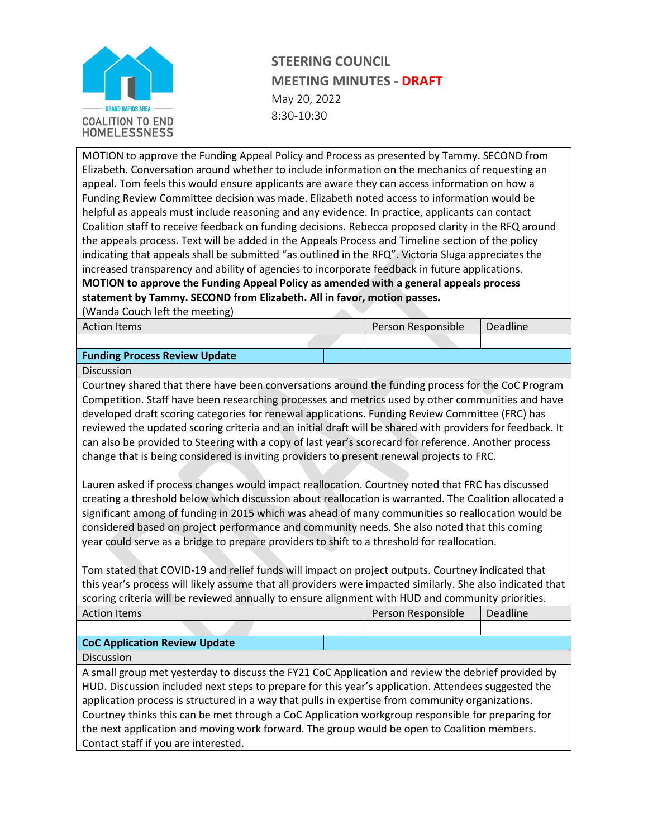

MOTION to approve the Funding Appeal Policy and Process as presented by Tammy. SECOND from Elizabeth. Conversation around whether to include information on the mechanics of requesting an appeal. Tom feels this would ensure applicants are aware they can access information on how a Funding Review Committee decision was made. Elizabeth noted access to information would be helpful as appeals must include reasoning and any evidence. In practice, applicants can contact Coalition staff to receive feedback on funding decisions. Rebecca proposed clarity in the RFQ around the appeals process. Text will be added in the Appeals Process and Timeline section of the policy indicating that appeals shall be submitted "as outlined in the RFQ". Victoria Sluga appreciates the increased transparency and ability of agencies to incorporate feedback in future applications. **MOTION to approve the Funding Appeal Policy as amended with a general appeals process statement by Tammy. SECOND from Elizabeth. All in favor, motion passes.** 

(Wanda Couch left the meeting)

| ້                                    |                           |          |  |
|--------------------------------------|---------------------------|----------|--|
| <b>Action Items</b>                  | <b>Person Responsible</b> | Deadline |  |
|                                      |                           |          |  |
| <b>Funding Process Review Update</b> |                           |          |  |

Discussion

Courtney shared that there have been conversations around the funding process for the CoC Program Competition. Staff have been researching processes and metrics used by other communities and have developed draft scoring categories for renewal applications. Funding Review Committee (FRC) has reviewed the updated scoring criteria and an initial draft will be shared with providers for feedback. It can also be provided to Steering with a copy of last year's scorecard for reference. Another process change that is being considered is inviting providers to present renewal projects to FRC.

Lauren asked if process changes would impact reallocation. Courtney noted that FRC has discussed creating a threshold below which discussion about reallocation is warranted. The Coalition allocated a significant among of funding in 2015 which was ahead of many communities so reallocation would be considered based on project performance and community needs. She also noted that this coming year could serve as a bridge to prepare providers to shift to a threshold for reallocation.

Tom stated that COVID-19 and relief funds will impact on project outputs. Courtney indicated that this year's process will likely assume that all providers were impacted similarly. She also indicated that scoring criteria will be reviewed annually to ensure alignment with HUD and community priorities.

| <b>Action Items</b>                                                                                 |  | Person Responsible | <b>Deadline</b> |  |
|-----------------------------------------------------------------------------------------------------|--|--------------------|-----------------|--|
|                                                                                                     |  |                    |                 |  |
| <b>CoC Application Review Update</b>                                                                |  |                    |                 |  |
| <b>Discussion</b>                                                                                   |  |                    |                 |  |
| A small group met yesterday to discuss the FY21 CoC Application and review the debrief provided by  |  |                    |                 |  |
| HUD. Discussion included next steps to prepare for this year's application. Attendees suggested the |  |                    |                 |  |
| application process is structured in a way that pulls in expertise from community organizations.    |  |                    |                 |  |
| Carutaan thisha this ang ha mat thuarak a CeC Anglication maghanary pagparaikle for proportion for  |  |                    |                 |  |

Courtney thinks this can be met through a CoC Application workgroup responsible for preparing for the next application and moving work forward. The group would be open to Coalition members. Contact staff if you are interested.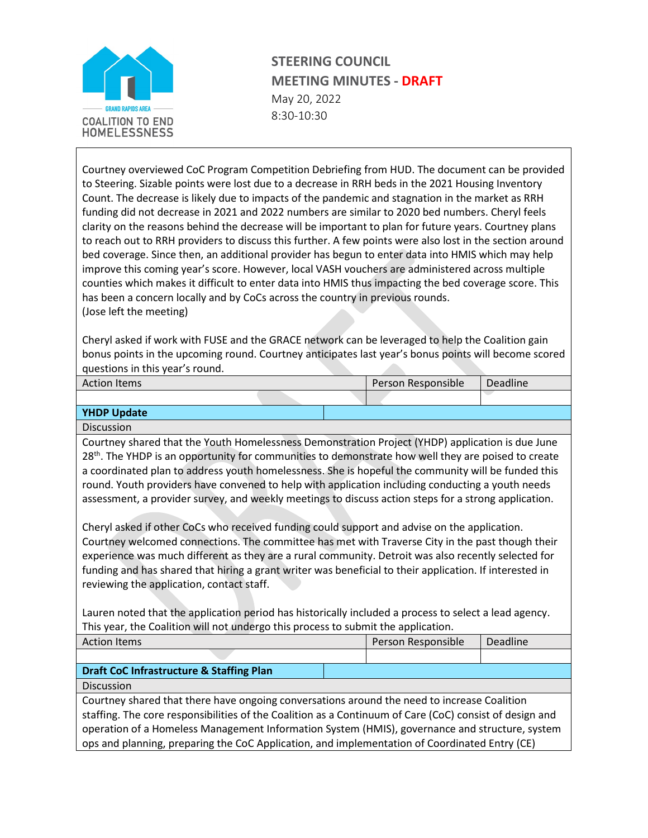

Courtney overviewed CoC Program Competition Debriefing from HUD. The document can be provided to Steering. Sizable points were lost due to a decrease in RRH beds in the 2021 Housing Inventory Count. The decrease is likely due to impacts of the pandemic and stagnation in the market as RRH funding did not decrease in 2021 and 2022 numbers are similar to 2020 bed numbers. Cheryl feels clarity on the reasons behind the decrease will be important to plan for future years. Courtney plans to reach out to RRH providers to discuss this further. A few points were also lost in the section around bed coverage. Since then, an additional provider has begun to enter data into HMIS which may help improve this coming year's score. However, local VASH vouchers are administered across multiple counties which makes it difficult to enter data into HMIS thus impacting the bed coverage score. This has been a concern locally and by CoCs across the country in previous rounds. (Jose left the meeting)

Cheryl asked if work with FUSE and the GRACE network can be leveraged to help the Coalition gain bonus points in the upcoming round. Courtney anticipates last year's bonus points will become scored questions in this year's round.

| <b>Action Items</b> | Person Responsible |  | <b>Deadline</b> |  |
|---------------------|--------------------|--|-----------------|--|
|                     |                    |  |                 |  |

## **YHDP Update**

Discussion

Courtney shared that the Youth Homelessness Demonstration Project (YHDP) application is due June 28<sup>th</sup>. The YHDP is an opportunity for communities to demonstrate how well they are poised to create a coordinated plan to address youth homelessness. She is hopeful the community will be funded this round. Youth providers have convened to help with application including conducting a youth needs assessment, a provider survey, and weekly meetings to discuss action steps for a strong application.

Cheryl asked if other CoCs who received funding could support and advise on the application. Courtney welcomed connections. The committee has met with Traverse City in the past though their experience was much different as they are a rural community. Detroit was also recently selected for funding and has shared that hiring a grant writer was beneficial to their application. If interested in reviewing the application, contact staff.

Lauren noted that the application period has historically included a process to select a lead agency. This year, the Coalition will not undergo this process to submit the application.

| <b>Action Items</b>                                                                                                                                                                                                                                                                                                                                                                                       |  | Person Responsible | Deadline |  |
|-----------------------------------------------------------------------------------------------------------------------------------------------------------------------------------------------------------------------------------------------------------------------------------------------------------------------------------------------------------------------------------------------------------|--|--------------------|----------|--|
|                                                                                                                                                                                                                                                                                                                                                                                                           |  |                    |          |  |
| <b>Draft CoC Infrastructure &amp; Staffing Plan</b>                                                                                                                                                                                                                                                                                                                                                       |  |                    |          |  |
| Discussion                                                                                                                                                                                                                                                                                                                                                                                                |  |                    |          |  |
| Courtney shared that there have ongoing conversations around the need to increase Coalition<br>staffing. The core responsibilities of the Coalition as a Continuum of Care (CoC) consist of design and<br>operation of a Homeless Management Information System (HMIS), governance and structure, system<br>ops and planning, preparing the CoC Application, and implementation of Coordinated Entry (CE) |  |                    |          |  |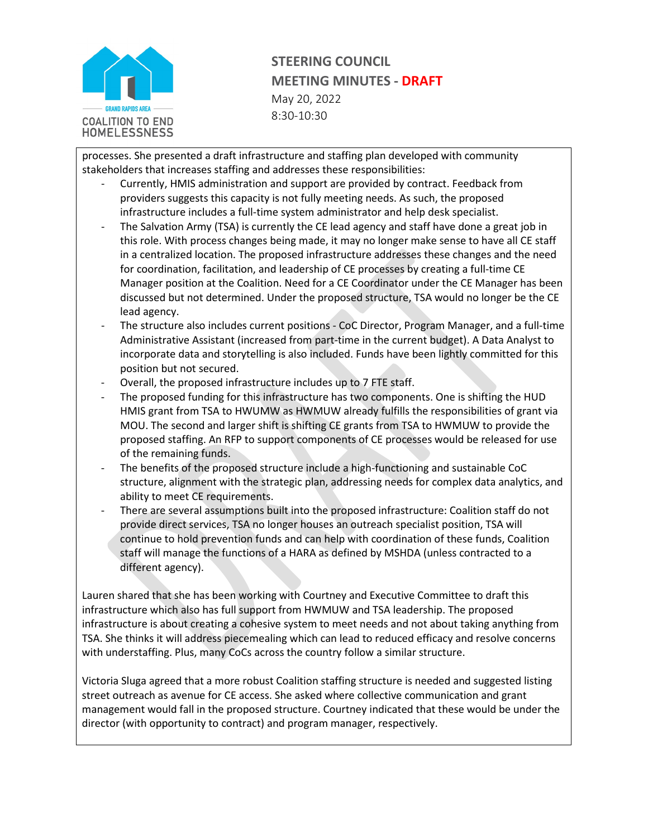

processes. She presented a draft infrastructure and staffing plan developed with community stakeholders that increases staffing and addresses these responsibilities:

- Currently, HMIS administration and support are provided by contract. Feedback from providers suggests this capacity is not fully meeting needs. As such, the proposed infrastructure includes a full-time system administrator and help desk specialist.
- The Salvation Army (TSA) is currently the CE lead agency and staff have done a great job in this role. With process changes being made, it may no longer make sense to have all CE staff in a centralized location. The proposed infrastructure addresses these changes and the need for coordination, facilitation, and leadership of CE processes by creating a full-time CE Manager position at the Coalition. Need for a CE Coordinator under the CE Manager has been discussed but not determined. Under the proposed structure, TSA would no longer be the CE lead agency.
- The structure also includes current positions CoC Director, Program Manager, and a full-time Administrative Assistant (increased from part-time in the current budget). A Data Analyst to incorporate data and storytelling is also included. Funds have been lightly committed for this position but not secured.
- Overall, the proposed infrastructure includes up to 7 FTE staff.
- The proposed funding for this infrastructure has two components. One is shifting the HUD HMIS grant from TSA to HWUMW as HWMUW already fulfills the responsibilities of grant via MOU. The second and larger shift is shifting CE grants from TSA to HWMUW to provide the proposed staffing. An RFP to support components of CE processes would be released for use of the remaining funds.
- The benefits of the proposed structure include a high-functioning and sustainable CoC structure, alignment with the strategic plan, addressing needs for complex data analytics, and ability to meet CE requirements.
- There are several assumptions built into the proposed infrastructure: Coalition staff do not provide direct services, TSA no longer houses an outreach specialist position, TSA will continue to hold prevention funds and can help with coordination of these funds, Coalition staff will manage the functions of a HARA as defined by MSHDA (unless contracted to a different agency).

Lauren shared that she has been working with Courtney and Executive Committee to draft this infrastructure which also has full support from HWMUW and TSA leadership. The proposed infrastructure is about creating a cohesive system to meet needs and not about taking anything from TSA. She thinks it will address piecemealing which can lead to reduced efficacy and resolve concerns with understaffing. Plus, many CoCs across the country follow a similar structure.

Victoria Sluga agreed that a more robust Coalition staffing structure is needed and suggested listing street outreach as avenue for CE access. She asked where collective communication and grant management would fall in the proposed structure. Courtney indicated that these would be under the director (with opportunity to contract) and program manager, respectively.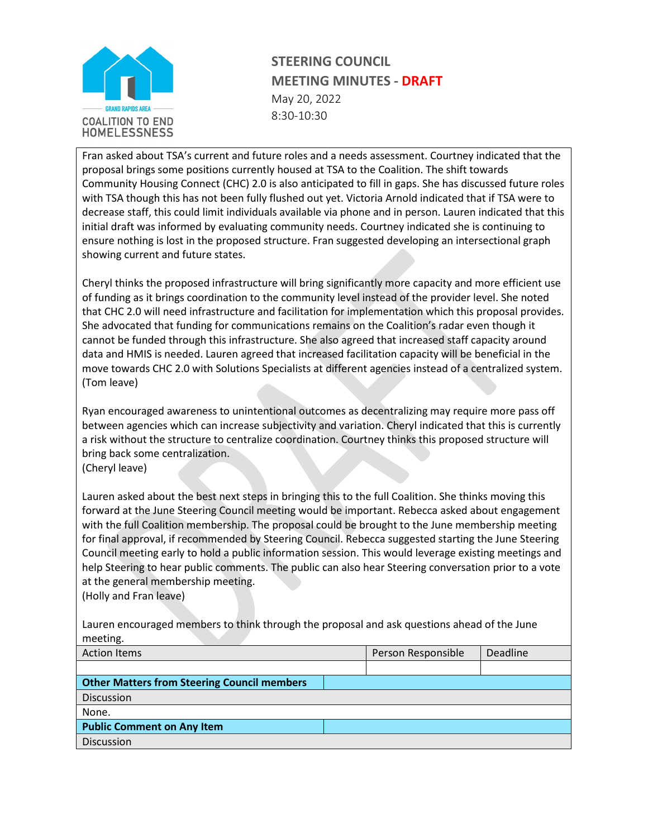

Fran asked about TSA's current and future roles and a needs assessment. Courtney indicated that the proposal brings some positions currently housed at TSA to the Coalition. The shift towards Community Housing Connect (CHC) 2.0 is also anticipated to fill in gaps. She has discussed future roles with TSA though this has not been fully flushed out yet. Victoria Arnold indicated that if TSA were to decrease staff, this could limit individuals available via phone and in person. Lauren indicated that this initial draft was informed by evaluating community needs. Courtney indicated she is continuing to ensure nothing is lost in the proposed structure. Fran suggested developing an intersectional graph showing current and future states.

Cheryl thinks the proposed infrastructure will bring significantly more capacity and more efficient use of funding as it brings coordination to the community level instead of the provider level. She noted that CHC 2.0 will need infrastructure and facilitation for implementation which this proposal provides. She advocated that funding for communications remains on the Coalition's radar even though it cannot be funded through this infrastructure. She also agreed that increased staff capacity around data and HMIS is needed. Lauren agreed that increased facilitation capacity will be beneficial in the move towards CHC 2.0 with Solutions Specialists at different agencies instead of a centralized system. (Tom leave)

Ryan encouraged awareness to unintentional outcomes as decentralizing may require more pass off between agencies which can increase subjectivity and variation. Cheryl indicated that this is currently a risk without the structure to centralize coordination. Courtney thinks this proposed structure will bring back some centralization.

(Cheryl leave)

Lauren asked about the best next steps in bringing this to the full Coalition. She thinks moving this forward at the June Steering Council meeting would be important. Rebecca asked about engagement with the full Coalition membership. The proposal could be brought to the June membership meeting for final approval, if recommended by Steering Council. Rebecca suggested starting the June Steering Council meeting early to hold a public information session. This would leverage existing meetings and help Steering to hear public comments. The public can also hear Steering conversation prior to a vote at the general membership meeting.

(Holly and Fran leave)

Lauren encouraged members to think through the proposal and ask questions ahead of the June meeting.

| <b>Action Items</b>                                | Person Responsible | <b>Deadline</b> |
|----------------------------------------------------|--------------------|-----------------|
|                                                    |                    |                 |
| <b>Other Matters from Steering Council members</b> |                    |                 |
| Discussion                                         |                    |                 |
| None.                                              |                    |                 |
| <b>Public Comment on Any Item</b>                  |                    |                 |
| <b>Discussion</b>                                  |                    |                 |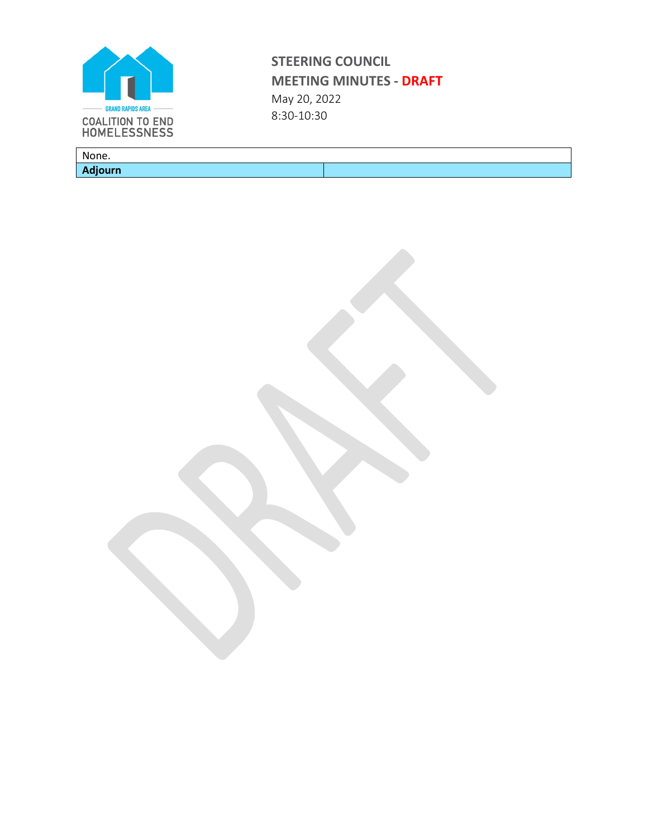

None. **Adjourn**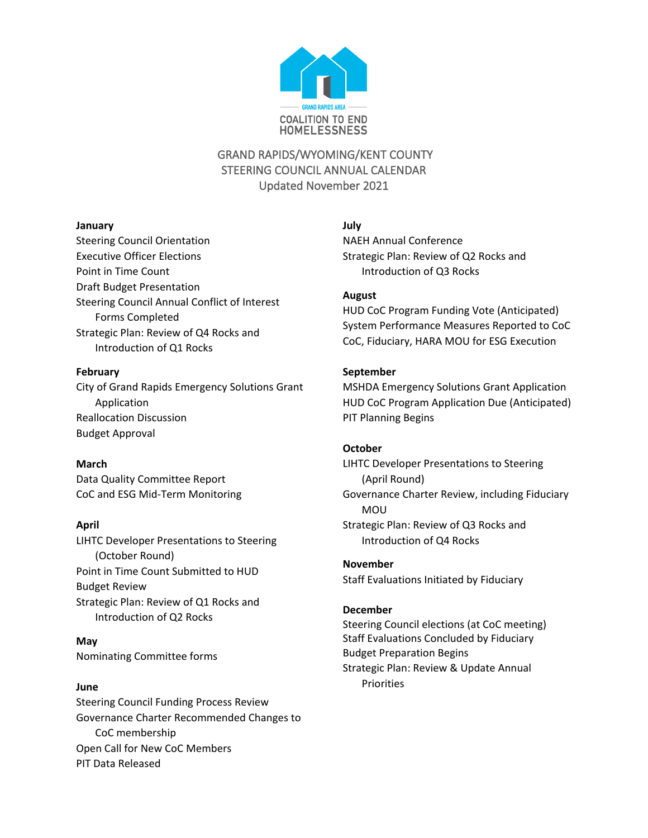

# GRAND RAPIDS/WYOMING/KENT COUNTY STEERING COUNCIL ANNUAL CALENDAR Updated November 2021

### **January**

Steering Council Orientation Executive Officer Elections Point in Time Count Draft Budget Presentation Steering Council Annual Conflict of Interest Forms Completed Strategic Plan: Review of Q4 Rocks and Introduction of Q1 Rocks

#### **February**

City of Grand Rapids Emergency Solutions Grant Application Reallocation Discussion Budget Approval

## **March**

Data Quality Committee Report CoC and ESG Mid-Term Monitoring

## **April**

LIHTC Developer Presentations to Steering (October Round) Point in Time Count Submitted to HUD Budget Review Strategic Plan: Review of Q1 Rocks and Introduction of Q2 Rocks

**May** Nominating Committee forms

## **June**

Steering Council Funding Process Review Governance Charter Recommended Changes to CoC membership Open Call for New CoC Members PIT Data Released

# **July**

NAEH Annual Conference Strategic Plan: Review of Q2 Rocks and Introduction of Q3 Rocks

## **August**

HUD CoC Program Funding Vote (Anticipated) System Performance Measures Reported to CoC CoC, Fiduciary, HARA MOU for ESG Execution

## **September**

MSHDA Emergency Solutions Grant Application HUD CoC Program Application Due (Anticipated) PIT Planning Begins

## **October**

LIHTC Developer Presentations to Steering (April Round) Governance Charter Review, including Fiduciary MOU Strategic Plan: Review of Q3 Rocks and Introduction of Q4 Rocks

**November** Staff Evaluations Initiated by Fiduciary

## **December**

Steering Council elections (at CoC meeting) Staff Evaluations Concluded by Fiduciary Budget Preparation Begins Strategic Plan: Review & Update Annual **Priorities**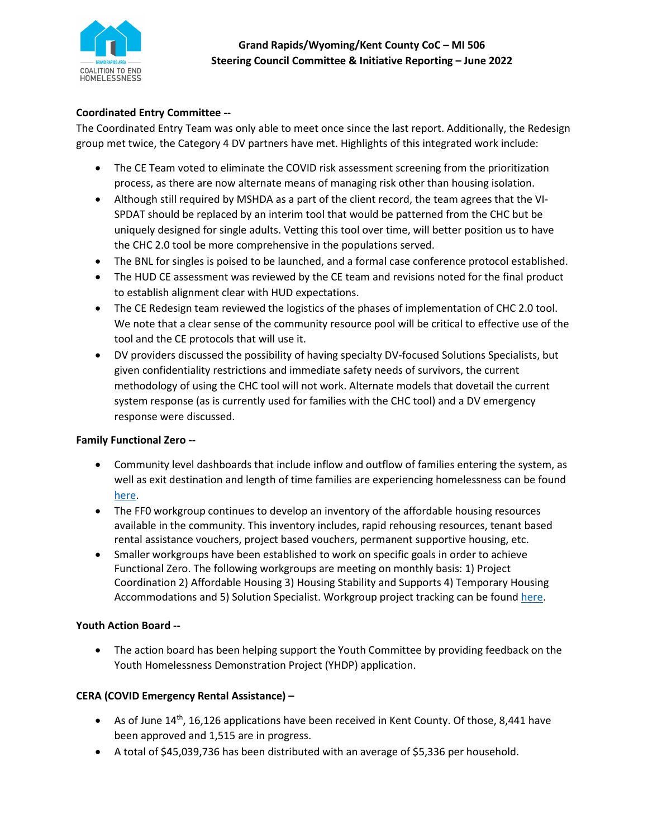

## **Coordinated Entry Committee --**

The Coordinated Entry Team was only able to meet once since the last report. Additionally, the Redesign group met twice, the Category 4 DV partners have met. Highlights of this integrated work include:

- The CE Team voted to eliminate the COVID risk assessment screening from the prioritization process, as there are now alternate means of managing risk other than housing isolation.
- Although still required by MSHDA as a part of the client record, the team agrees that the VI-SPDAT should be replaced by an interim tool that would be patterned from the CHC but be uniquely designed for single adults. Vetting this tool over time, will better position us to have the CHC 2.0 tool be more comprehensive in the populations served.
- The BNL for singles is poised to be launched, and a formal case conference protocol established.
- The HUD CE assessment was reviewed by the CE team and revisions noted for the final product to establish alignment clear with HUD expectations.
- The CE Redesign team reviewed the logistics of the phases of implementation of CHC 2.0 tool. We note that a clear sense of the community resource pool will be critical to effective use of the tool and the CE protocols that will use it.
- DV providers discussed the possibility of having specialty DV-focused Solutions Specialists, but given confidentiality restrictions and immediate safety needs of survivors, the current methodology of using the CHC tool will not work. Alternate models that dovetail the current system response (as is currently used for families with the CHC tool) and a DV emergency response were discussed.

## **Family Functional Zero --**

- Community level dashboards that include inflow and outflow of families entering the system, as well as exit destination and length of time families are experiencing homelessness can be found [here.](https://public.tableau.com/views/OurDayOneEndingFamilyHomelessness/FF0?:language=en-US&:display_count=n&:origin=viz_share_link)
- The FF0 workgroup continues to develop an inventory of the affordable housing resources available in the community. This inventory includes, rapid rehousing resources, tenant based rental assistance vouchers, project based vouchers, permanent supportive housing, etc.
- Smaller workgroups have been established to work on specific goals in order to achieve Functional Zero. The following workgroups are meeting on monthly basis: 1) Project Coordination 2) Affordable Housing 3) Housing Stability and Supports 4) Temporary Housing Accommodations and 5) Solution Specialist. Workgroup project tracking can be foun[d here.](https://communityrebuilders-my.sharepoint.com/:x:/g/personal/smosley_communityrebuilders_org/EVO87HQdwTVHjdY82W-rN3UB965OKGX_MaZqzT0UVhxkSA?e=KDOkgF)

## **Youth Action Board --**

• The action board has been helping support the Youth Committee by providing feedback on the Youth Homelessness Demonstration Project (YHDP) application.

## **CERA (COVID Emergency Rental Assistance) –**

- As of June  $14^{th}$ , 16,126 applications have been received in Kent County. Of those, 8,441 have been approved and 1,515 are in progress.
- A total of \$45,039,736 has been distributed with an average of \$5,336 per household.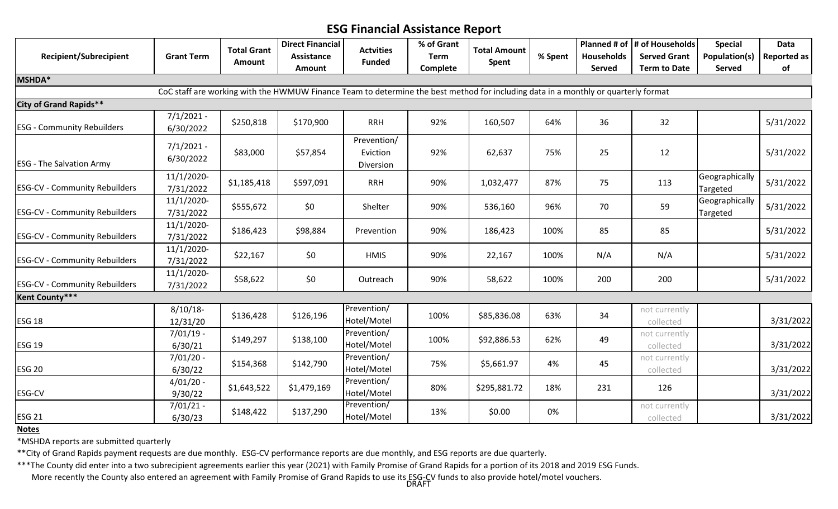# **ESG Financial Assistance Report**

|                                      |                           | <b>Total Grant</b> | <b>Direct Financial</b>                                                                                                            | <b>Actvities</b>                     | % of Grant  | <b>Total Amount</b> |         |                   | Planned # of $\vert$ # of Households | <b>Special</b>             | <b>Data</b>        |
|--------------------------------------|---------------------------|--------------------|------------------------------------------------------------------------------------------------------------------------------------|--------------------------------------|-------------|---------------------|---------|-------------------|--------------------------------------|----------------------------|--------------------|
| <b>Recipient/Subrecipient</b>        | <b>Grant Term</b>         | Amount             | Assistance                                                                                                                         | <b>Funded</b>                        | <b>Term</b> | Spent               | % Spent | <b>Households</b> | <b>Served Grant</b>                  | Population(s)              | <b>Reported as</b> |
|                                      |                           |                    | Amount                                                                                                                             |                                      | Complete    |                     |         | <b>Served</b>     | <b>Term to Date</b>                  | Served                     | of                 |
| MSHDA*                               |                           |                    |                                                                                                                                    |                                      |             |                     |         |                   |                                      |                            |                    |
|                                      |                           |                    | CoC staff are working with the HWMUW Finance Team to determine the best method for including data in a monthly or quarterly format |                                      |             |                     |         |                   |                                      |                            |                    |
| <b>City of Grand Rapids**</b>        |                           |                    |                                                                                                                                    |                                      |             |                     |         |                   |                                      |                            |                    |
| <b>ESG - Community Rebuilders</b>    | $7/1/2021 -$<br>6/30/2022 | \$250,818          | \$170,900                                                                                                                          | <b>RRH</b>                           | 92%         | 160,507             | 64%     | 36                | 32                                   |                            | 5/31/2022          |
| <b>ESG - The Salvation Army</b>      | $7/1/2021 -$<br>6/30/2022 | \$83,000           | \$57,854                                                                                                                           | Prevention/<br>Eviction<br>Diversion | 92%         | 62,637              | 75%     | 25                | 12                                   |                            | 5/31/2022          |
| <b>ESG-CV - Community Rebuilders</b> | 11/1/2020-<br>7/31/2022   | \$1,185,418        | \$597,091                                                                                                                          | <b>RRH</b>                           | 90%         | 1,032,477           | 87%     | 75                | 113                                  | Geographically<br>Targeted | 5/31/2022          |
| <b>ESG-CV - Community Rebuilders</b> | 11/1/2020-<br>7/31/2022   | \$555,672          | \$0                                                                                                                                | Shelter                              | 90%         | 536,160             | 96%     | 70                | 59                                   | Geographically<br>Targeted | 5/31/2022          |
| <b>ESG-CV - Community Rebuilders</b> | 11/1/2020-<br>7/31/2022   | \$186,423          | \$98,884                                                                                                                           | Prevention                           | 90%         | 186,423             | 100%    | 85                | 85                                   |                            | 5/31/2022          |
| <b>ESG-CV - Community Rebuilders</b> | 11/1/2020-<br>7/31/2022   | \$22,167           | \$0                                                                                                                                | <b>HMIS</b>                          | 90%         | 22,167              | 100%    | N/A               | N/A                                  |                            | 5/31/2022          |
| <b>ESG-CV - Community Rebuilders</b> | 11/1/2020-<br>7/31/2022   | \$58,622           | \$0                                                                                                                                | Outreach                             | 90%         | 58,622              | 100%    | 200               | 200                                  |                            | 5/31/2022          |
| Kent County***                       |                           |                    |                                                                                                                                    |                                      |             |                     |         |                   |                                      |                            |                    |
| <b>ESG 18</b>                        | $8/10/18$ -<br>12/31/20   | \$136,428          | \$126,196                                                                                                                          | Prevention/<br>Hotel/Motel           | 100%        | \$85,836.08         | 63%     | 34                | not currently<br>collected           |                            | 3/31/2022          |
| <b>ESG 19</b>                        | $7/01/19$ -<br>6/30/21    | \$149,297          | \$138,100                                                                                                                          | Prevention/<br>Hotel/Motel           | 100%        | \$92,886.53         | 62%     | 49                | not currently<br>collected           |                            | 3/31/2022          |
| <b>ESG 20</b>                        | $7/01/20 -$<br>6/30/22    | \$154,368          | \$142,790                                                                                                                          | Prevention/<br>Hotel/Motel           | 75%         | \$5,661.97          | 4%      | 45                | not currently<br>collected           |                            | 3/31/2022          |
| ESG-CV                               | $4/01/20 -$<br>9/30/22    | \$1,643,522        | \$1,479,169                                                                                                                        | Prevention/<br>Hotel/Motel           | 80%         | \$295,881.72        | 18%     | 231               | 126                                  |                            | 3/31/2022          |
| <b>ESG 21</b>                        | $7/01/21 -$<br>6/30/23    | \$148,422          | \$137,290                                                                                                                          | Prevention/<br>Hotel/Motel           | 13%         | \$0.00              | 0%      |                   | not currently<br>collected           |                            | 3/31/2022          |

**Notes**

\*MSHDA reports are submitted quarterly

\*\*City of Grand Rapids payment requests are due monthly. ESG-CV performance reports are due monthly, and ESG reports are due quarterly.

\*\*\*The County did enter into a two subrecipient agreements earlier this year (2021) with Family Promise of Grand Rapids for a portion of its 2018 and 2019 ESG Funds. More recently the County also entered an agreement with Family Promise of Grand Rapids to use its ESG-CV funds to also provide hotel/motel vouchers. DRAFT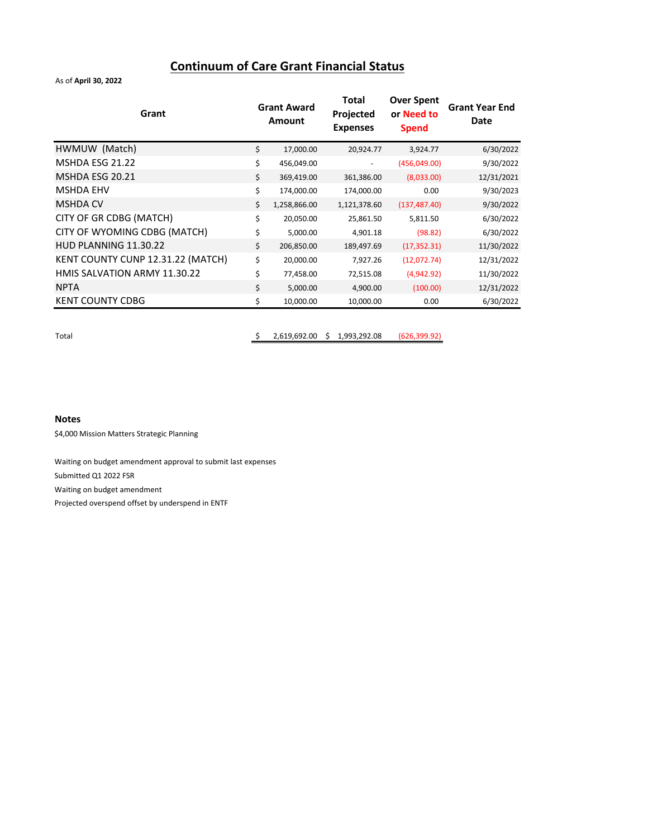# **Continuum of Care Grant Financial Status**

As of **April 30, 2022**

| HWMUW (Match)<br>\$<br>17,000.00<br>20,924.77<br>3,924.77                       | 6/30/2022  |
|---------------------------------------------------------------------------------|------------|
| MSHDA ESG 21.22<br>\$<br>(456,049.00)<br>456,049.00                             | 9/30/2022  |
| MSHDA ESG 20.21<br>\$<br>369,419.00<br>(8,033.00)<br>361,386.00                 | 12/31/2021 |
| <b>MSHDA EHV</b><br>\$<br>174,000.00<br>0.00<br>174,000.00                      | 9/30/2023  |
| <b>MSHDA CV</b><br>\$<br>1,258,866.00<br>1,121,378.60<br>(137, 487.40)          | 9/30/2022  |
| CITY OF GR CDBG (MATCH)<br>\$<br>20,050.00<br>25,861.50<br>5,811.50             | 6/30/2022  |
| CITY OF WYOMING CDBG (MATCH)<br>\$<br>5,000.00<br>4,901.18<br>(98.82)           | 6/30/2022  |
| HUD PLANNING 11.30.22<br>\$<br>206,850.00<br>189,497.69<br>(17, 352.31)         | 11/30/2022 |
| KENT COUNTY CUNP 12.31.22 (MATCH)<br>\$<br>20,000.00<br>(12,072.74)<br>7,927.26 | 12/31/2022 |
| HMIS SALVATION ARMY 11.30.22<br>\$<br>(4,942.92)<br>77,458.00<br>72,515.08      | 11/30/2022 |
| <b>NPTA</b><br>\$<br>5,000.00<br>4,900.00<br>(100.00)                           | 12/31/2022 |
| <b>KENT COUNTY CDBG</b><br>\$<br>10,000.00<br>10,000.00<br>0.00                 | 6/30/2022  |

Total \$ 2,619,692.00 \$ 1,993,292.08 (626,399.92)

#### **Notes**

\$4,000 Mission Matters Strategic Planning

Waiting on budget amendment approval to submit last expenses Submitted Q1 2022 FSR Waiting on budget amendment Projected overspend offset by underspend in ENTF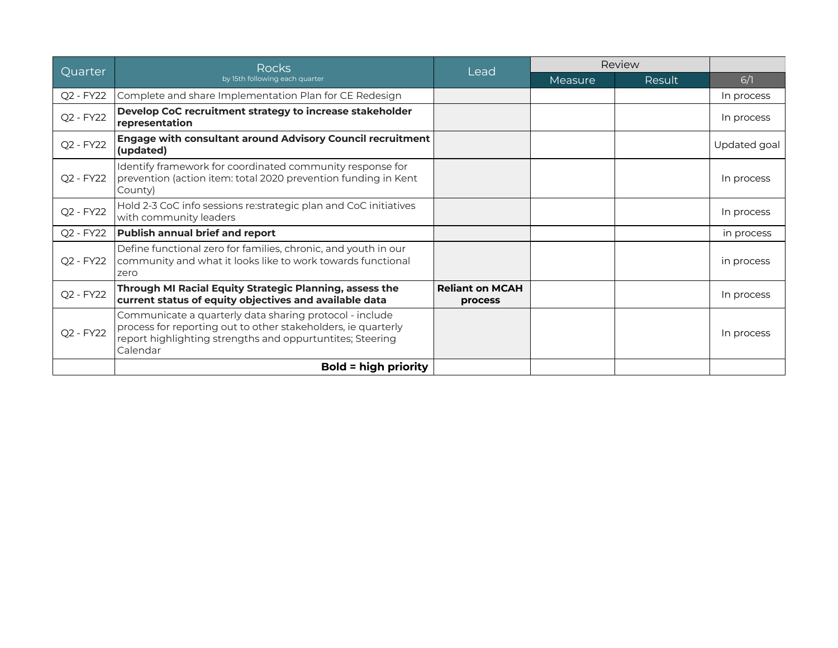| Quarter   | <b>Rocks</b>                                                                                                                                                                                      |                                   | Review<br>Lead |        |              |
|-----------|---------------------------------------------------------------------------------------------------------------------------------------------------------------------------------------------------|-----------------------------------|----------------|--------|--------------|
|           | by 15th following each quarter                                                                                                                                                                    |                                   | Measure        | Result | 6/1          |
| Q2 - FY22 | Complete and share Implementation Plan for CE Redesign                                                                                                                                            |                                   |                |        | In process   |
| Q2 - FY22 | Develop CoC recruitment strategy to increase stakeholder<br>representation                                                                                                                        |                                   |                |        | In process   |
| Q2 - FY22 | <b>Engage with consultant around Advisory Council recruitment</b><br>(updated)                                                                                                                    |                                   |                |        | Updated goal |
| Q2 - FY22 | Identify framework for coordinated community response for<br>prevention (action item: total 2020 prevention funding in Kent<br>County)                                                            |                                   |                |        | In process   |
| Q2 - FY22 | Hold 2-3 CoC info sessions re: strategic plan and CoC initiatives<br>with community leaders                                                                                                       |                                   |                |        | In process   |
| Q2 - FY22 | <b>Publish annual brief and report</b>                                                                                                                                                            |                                   |                |        | in process   |
| Q2 - FY22 | Define functional zero for families, chronic, and youth in our<br>community and what it looks like to work towards functional<br>zero                                                             |                                   |                |        | in process   |
| Q2 - FY22 | Through MI Racial Equity Strategic Planning, assess the<br>current status of equity objectives and available data                                                                                 | <b>Reliant on MCAH</b><br>process |                |        | In process   |
| Q2 - FY22 | Communicate a quarterly data sharing protocol - include<br>process for reporting out to other stakeholders, ie quarterly<br>report highlighting strengths and oppurtuntites; Steering<br>Calendar |                                   |                |        | In process   |
|           | <b>Bold = high priority</b>                                                                                                                                                                       |                                   |                |        |              |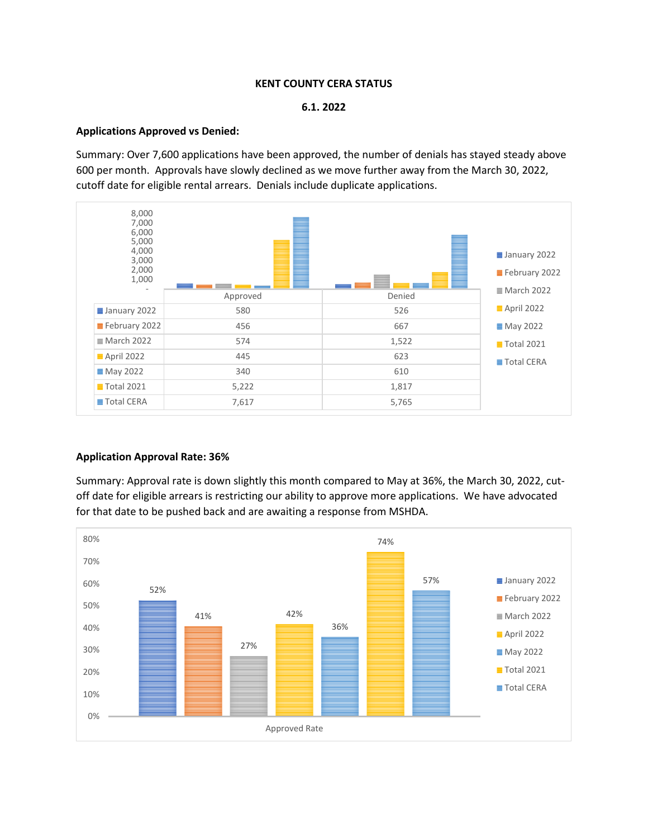#### **KENT COUNTY CERA STATUS**

#### **6.1. 2022**

#### **Applications Approved vs Denied:**

Summary: Over 7,600 applications have been approved, the number of denials has stayed steady above 600 per month. Approvals have slowly declined as we move further away from the March 30, 2022, cutoff date for eligible rental arrears. Denials include duplicate applications.



#### **Application Approval Rate: 36%**

Summary: Approval rate is down slightly this month compared to May at 36%, the March 30, 2022, cutoff date for eligible arrears is restricting our ability to approve more applications. We have advocated for that date to be pushed back and are awaiting a response from MSHDA.

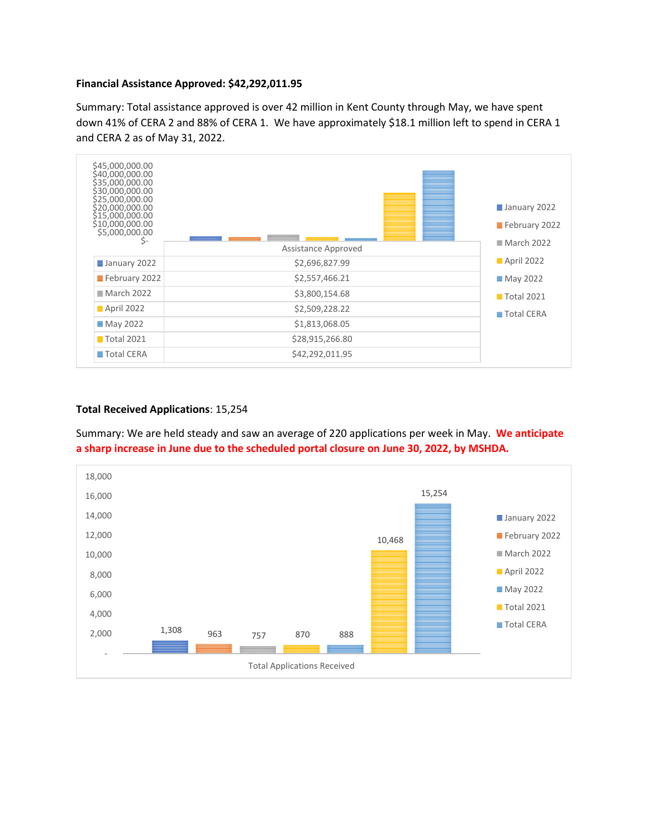#### **Financial Assistance Approved: \$42,292,011.95**

Summary: Total assistance approved is over 42 million in Kent County through May, we have spent down 41% of CERA 2 and 88% of CERA 1. We have approximately \$18.1 million left to spend in CERA 1 and CERA 2 as of May 31, 2022.



#### **Total Received Applications**: 15,254

Summary: We are held steady and saw an average of 220 applications per week in May. **We anticipate a sharp increase in June due to the scheduled portal closure on June 30, 2022, by MSHDA.**

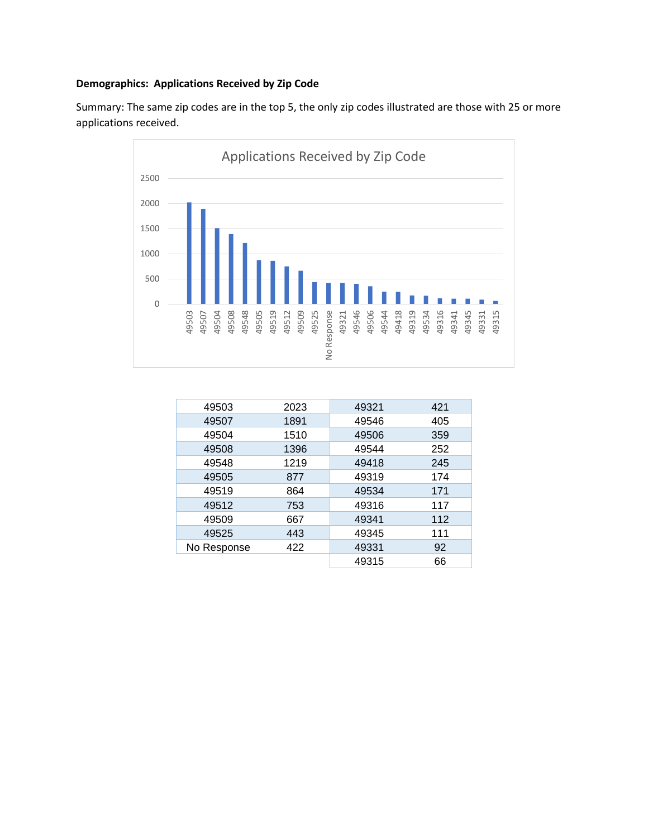# **Demographics: Applications Received by Zip Code**

Summary: The same zip codes are in the top 5, the only zip codes illustrated are those with 25 or more applications received.



| 49503       | 2023 | 49321 | 421 |
|-------------|------|-------|-----|
| 49507       | 1891 | 49546 | 405 |
| 49504       | 1510 | 49506 | 359 |
| 49508       | 1396 | 49544 | 252 |
| 49548       | 1219 | 49418 | 245 |
| 49505       | 877  | 49319 | 174 |
| 49519       | 864  | 49534 | 171 |
| 49512       | 753  | 49316 | 117 |
| 49509       | 667  | 49341 | 112 |
| 49525       | 443  | 49345 | 111 |
| No Response | 422  | 49331 | 92  |
|             |      | 49315 | 66  |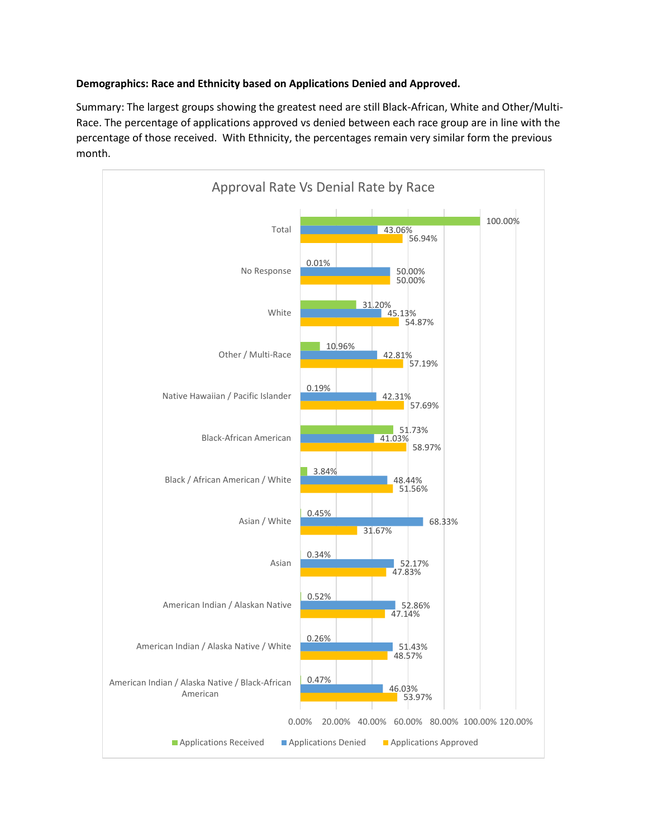### **Demographics: Race and Ethnicity based on Applications Denied and Approved.**

Summary: The largest groups showing the greatest need are still Black-African, White and Other/Multi-Race. The percentage of applications approved vs denied between each race group are in line with the percentage of those received. With Ethnicity, the percentages remain very similar form the previous month.

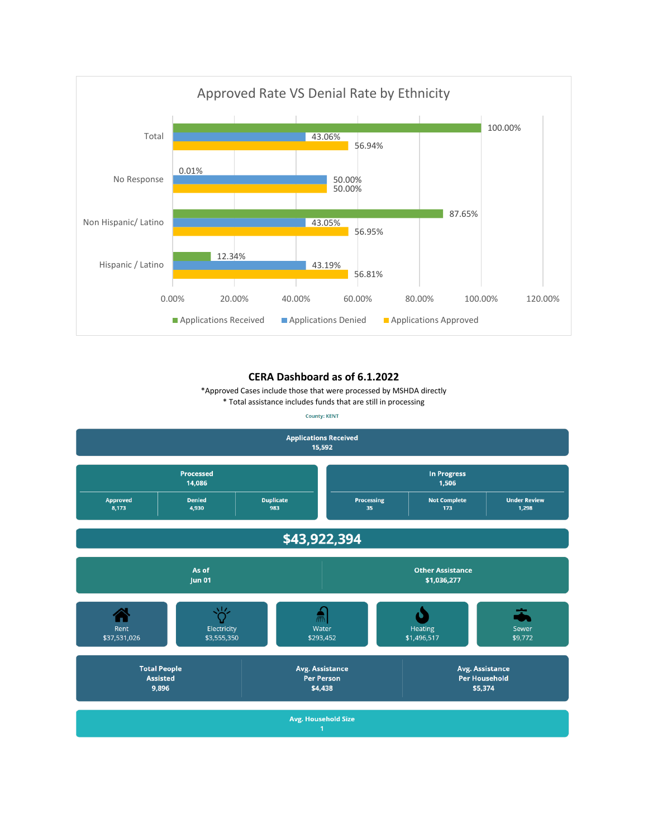

#### **CERA Dashboard as of 6.1.2022**

\*Approved Cases include those that were processed by MSHDA directly

\* Total assistance includes funds that are still in processing

**County: KENT** 

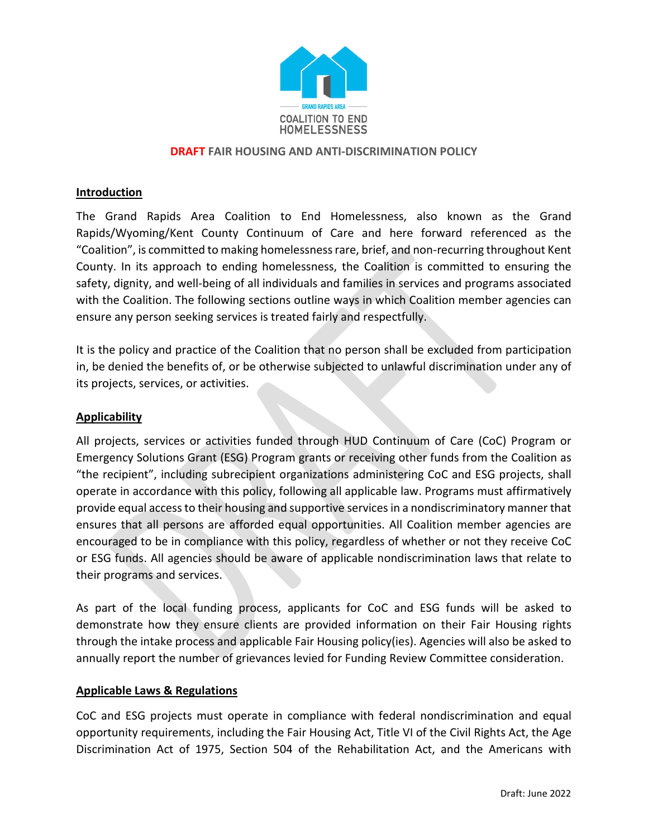

### **DRAFT FAIR HOUSING AND ANTI-DISCRIMINATION POLICY**

### **Introduction**

The Grand Rapids Area Coalition to End Homelessness, also known as the Grand Rapids/Wyoming/Kent County Continuum of Care and here forward referenced as the "Coalition", is committed to making homelessness rare, brief, and non-recurring throughout Kent County. In its approach to ending homelessness, the Coalition is committed to ensuring the safety, dignity, and well-being of all individuals and families in services and programs associated with the Coalition. The following sections outline ways in which Coalition member agencies can ensure any person seeking services is treated fairly and respectfully.

It is the policy and practice of the Coalition that no person shall be excluded from participation in, be denied the benefits of, or be otherwise subjected to unlawful discrimination under any of its projects, services, or activities.

### **Applicability**

All projects, services or activities funded through HUD Continuum of Care (CoC) Program or Emergency Solutions Grant (ESG) Program grants or receiving other funds from the Coalition as "the recipient", including subrecipient organizations administering CoC and ESG projects, shall operate in accordance with this policy, following all applicable law. Programs must affirmatively provide equal access to their housing and supportive services in a nondiscriminatory manner that ensures that all persons are afforded equal opportunities. All Coalition member agencies are encouraged to be in compliance with this policy, regardless of whether or not they receive CoC or ESG funds. All agencies should be aware of applicable nondiscrimination laws that relate to their programs and services.

As part of the local funding process, applicants for CoC and ESG funds will be asked to demonstrate how they ensure clients are provided information on their Fair Housing rights through the intake process and applicable Fair Housing policy(ies). Agencies will also be asked to annually report the number of grievances levied for Funding Review Committee consideration.

#### **Applicable Laws & Regulations**

CoC and ESG projects must operate in compliance with federal nondiscrimination and equal opportunity requirements, including the Fair Housing Act, Title VI of the Civil Rights Act, the Age Discrimination Act of 1975, Section 504 of the Rehabilitation Act, and the Americans with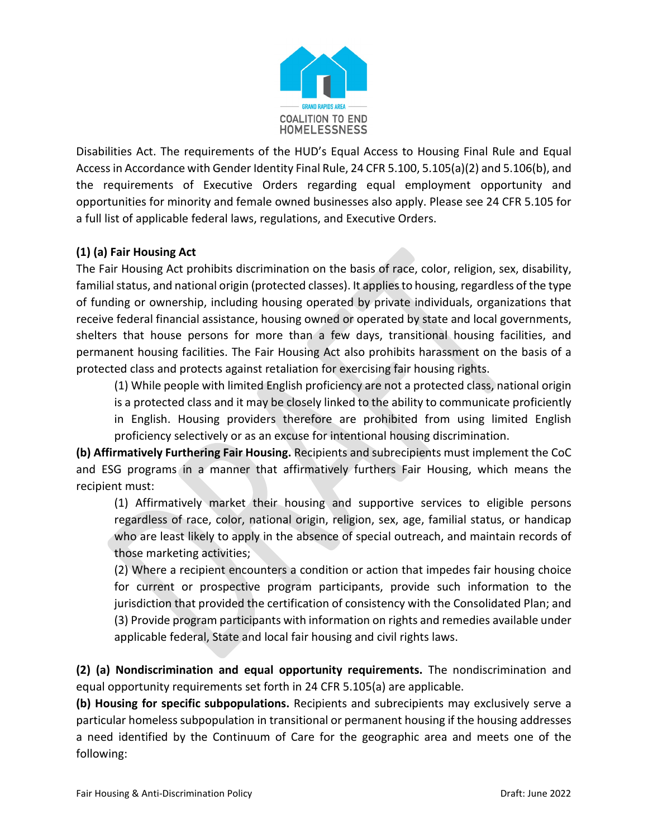

Disabilities Act. The requirements of the HUD's Equal Access to Housing Final Rule and Equal Access in Accordance with Gender Identity Final Rule, 24 CFR 5.100, 5.105(a)(2) and 5.106(b), and the requirements of Executive Orders regarding equal employment opportunity and opportunities for minority and female owned businesses also apply. Please see 24 CFR 5.105 for a full list of applicable federal laws, regulations, and Executive Orders.

# **(1) (a) Fair Housing Act**

The Fair Housing Act prohibits discrimination on the basis of race, color, religion, sex, disability, familial status, and national origin (protected classes). It applies to housing, regardless of the type of funding or ownership, including housing operated by private individuals, organizations that receive federal financial assistance, housing owned or operated by state and local governments, shelters that house persons for more than a few days, transitional housing facilities, and permanent housing facilities. The Fair Housing Act also prohibits harassment on the basis of a protected class and protects against retaliation for exercising fair housing rights.

(1) While people with limited English proficiency are not a protected class, national origin is a protected class and it may be closely linked to the ability to communicate proficiently in English. Housing providers therefore are prohibited from using limited English proficiency selectively or as an excuse for intentional housing discrimination.

**(b) Affirmatively Furthering Fair Housing.** Recipients and subrecipients must implement the CoC and ESG programs in a manner that affirmatively furthers Fair Housing, which means the recipient must:

(1) Affirmatively market their housing and supportive services to eligible persons regardless of race, color, national origin, religion, sex, age, familial status, or handicap who are least likely to apply in the absence of special outreach, and maintain records of those marketing activities;

(2) Where a recipient encounters a condition or action that impedes fair housing choice for current or prospective program participants, provide such information to the jurisdiction that provided the certification of consistency with the Consolidated Plan; and (3) Provide program participants with information on rights and remedies available under applicable federal, State and local fair housing and civil rights laws.

**(2) (a) Nondiscrimination and equal opportunity requirements.** The nondiscrimination and equal opportunity requirements set forth in 24 CFR 5.105(a) are applicable.

**(b) Housing for specific subpopulations.** Recipients and subrecipients may exclusively serve a particular homeless subpopulation in transitional or permanent housing if the housing addresses a need identified by the Continuum of Care for the geographic area and meets one of the following: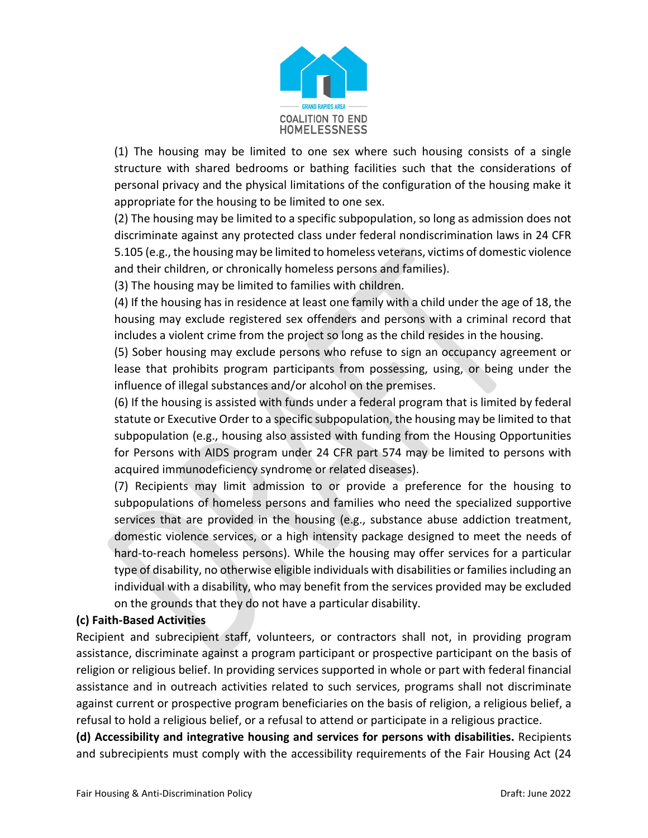

(1) The housing may be limited to one sex where such housing consists of a single structure with shared bedrooms or bathing facilities such that the considerations of personal privacy and the physical limitations of the configuration of the housing make it appropriate for the housing to be limited to one sex.

(2) The housing may be limited to a specific subpopulation, so long as admission does not discriminate against any protected class under federal nondiscrimination laws in 24 CFR 5.105 (e.g., the housing may be limited to homeless veterans, victims of domestic violence and their children, or chronically homeless persons and families).

(3) The housing may be limited to families with children.

(4) If the housing has in residence at least one family with a child under the age of 18, the housing may exclude registered sex offenders and persons with a criminal record that includes a violent crime from the project so long as the child resides in the housing.

(5) Sober housing may exclude persons who refuse to sign an occupancy agreement or lease that prohibits program participants from possessing, using, or being under the influence of illegal substances and/or alcohol on the premises.

(6) If the housing is assisted with funds under a federal program that is limited by federal statute or Executive Order to a specific subpopulation, the housing may be limited to that subpopulation (e.g., housing also assisted with funding from the Housing Opportunities for Persons with AIDS program under 24 CFR part 574 may be limited to persons with acquired immunodeficiency syndrome or related diseases).

(7) Recipients may limit admission to or provide a preference for the housing to subpopulations of homeless persons and families who need the specialized supportive services that are provided in the housing (e.g., substance abuse addiction treatment, domestic violence services, or a high intensity package designed to meet the needs of hard-to-reach homeless persons). While the housing may offer services for a particular type of disability, no otherwise eligible individuals with disabilities or families including an individual with a disability, who may benefit from the services provided may be excluded on the grounds that they do not have a particular disability.

# **(c) Faith-Based Activities**

Recipient and subrecipient staff, volunteers, or contractors shall not, in providing program assistance, discriminate against a program participant or prospective participant on the basis of religion or religious belief. In providing services supported in whole or part with federal financial assistance and in outreach activities related to such services, programs shall not discriminate against current or prospective program beneficiaries on the basis of religion, a religious belief, a refusal to hold a religious belief, or a refusal to attend or participate in a religious practice.

**(d) Accessibility and integrative housing and services for persons with disabilities.** Recipients and subrecipients must comply with the accessibility requirements of the Fair Housing Act (24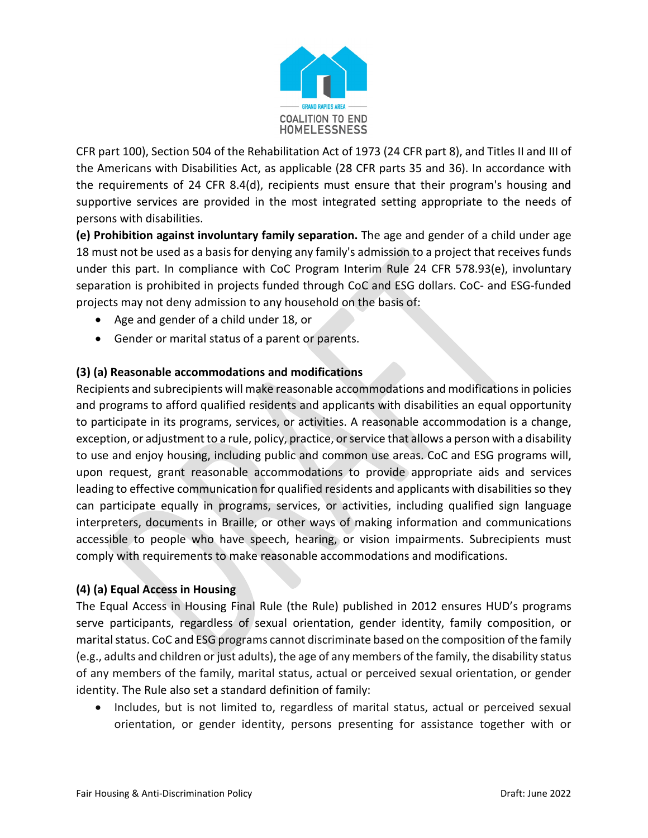

CFR part 100), Section 504 of the Rehabilitation Act of 1973 (24 CFR part 8), and Titles II and III of the Americans with Disabilities Act, as applicable (28 CFR parts 35 and 36). In accordance with the requirements of 24 CFR 8.4(d), recipients must ensure that their program's housing and supportive services are provided in the most integrated setting appropriate to the needs of persons with disabilities.

**(e) Prohibition against involuntary family separation.** The age and gender of a child under age 18 must not be used as a basis for denying any family's admission to a project that receives funds under this part. In compliance with CoC Program Interim Rule 24 CFR 578.93(e), involuntary separation is prohibited in projects funded through CoC and ESG dollars. CoC- and ESG-funded projects may not deny admission to any household on the basis of:

- Age and gender of a child under 18, or
- Gender or marital status of a parent or parents.

# **(3) (a) Reasonable accommodations and modifications**

Recipients and subrecipients will make reasonable accommodations and modifications in policies and programs to afford qualified residents and applicants with disabilities an equal opportunity to participate in its programs, services, or activities. A reasonable accommodation is a change, exception, or adjustment to a rule, policy, practice, or service that allows a person with a disability to use and enjoy housing, including public and common use areas. CoC and ESG programs will, upon request, grant reasonable accommodations to provide appropriate aids and services leading to effective communication for qualified residents and applicants with disabilities so they can participate equally in programs, services, or activities, including qualified sign language interpreters, documents in Braille, or other ways of making information and communications accessible to people who have speech, hearing, or vision impairments. Subrecipients must comply with requirements to make reasonable accommodations and modifications.

# **(4) (a) Equal Access in Housing**

The Equal Access in Housing Final Rule (the Rule) published in 2012 ensures HUD's programs serve participants, regardless of sexual orientation, gender identity, family composition, or marital status. CoC and ESG programs cannot discriminate based on the composition of the family (e.g., adults and children or just adults), the age of any members of the family, the disability status of any members of the family, marital status, actual or perceived sexual orientation, or gender identity. The Rule also set a standard definition of family:

• Includes, but is not limited to, regardless of marital status, actual or perceived sexual orientation, or gender identity, persons presenting for assistance together with or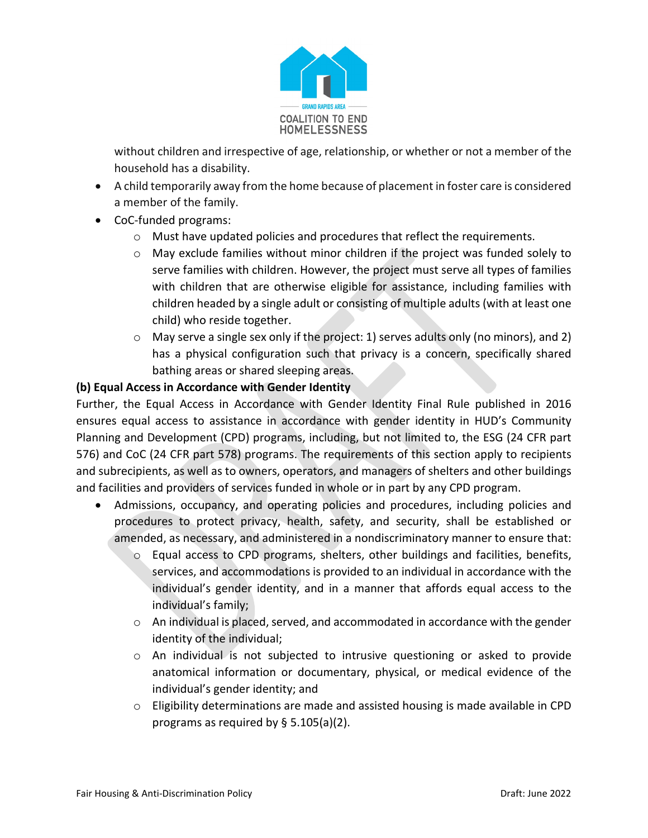

without children and irrespective of age, relationship, or whether or not a member of the household has a disability.

- A child temporarily away from the home because of placement in foster care is considered a member of the family.
- CoC-funded programs:
	- $\circ$  Must have updated policies and procedures that reflect the requirements.
	- $\circ$  May exclude families without minor children if the project was funded solely to serve families with children. However, the project must serve all types of families with children that are otherwise eligible for assistance, including families with children headed by a single adult or consisting of multiple adults (with at least one child) who reside together.
	- o May serve a single sex only if the project: 1) serves adults only (no minors), and 2) has a physical configuration such that privacy is a concern, specifically shared bathing areas or shared sleeping areas.

## **(b) Equal Access in Accordance with Gender Identity**

Further, the Equal Access in Accordance with Gender Identity Final Rule published in 2016 ensures equal access to assistance in accordance with gender identity in HUD's Community Planning and Development (CPD) programs, including, but not limited to, the ESG (24 CFR part 576) and CoC (24 CFR part 578) programs. The requirements of this section apply to recipients and subrecipients, as well as to owners, operators, and managers of shelters and other buildings and facilities and providers of services funded in whole or in part by any CPD program.

- Admissions, occupancy, and operating policies and procedures, including policies and procedures to protect privacy, health, safety, and security, shall be established or amended, as necessary, and administered in a nondiscriminatory manner to ensure that:
	- o Equal access to CPD programs, shelters, other buildings and facilities, benefits, services, and accommodations is provided to an individual in accordance with the individual's gender identity, and in a manner that affords equal access to the individual's family;
	- o An individual is placed, served, and accommodated in accordance with the gender identity of the individual;
	- o An individual is not subjected to intrusive questioning or asked to provide anatomical information or documentary, physical, or medical evidence of the individual's gender identity; and
	- $\circ$  Eligibility determinations are made and assisted housing is made available in CPD programs as required by § 5.105(a)(2).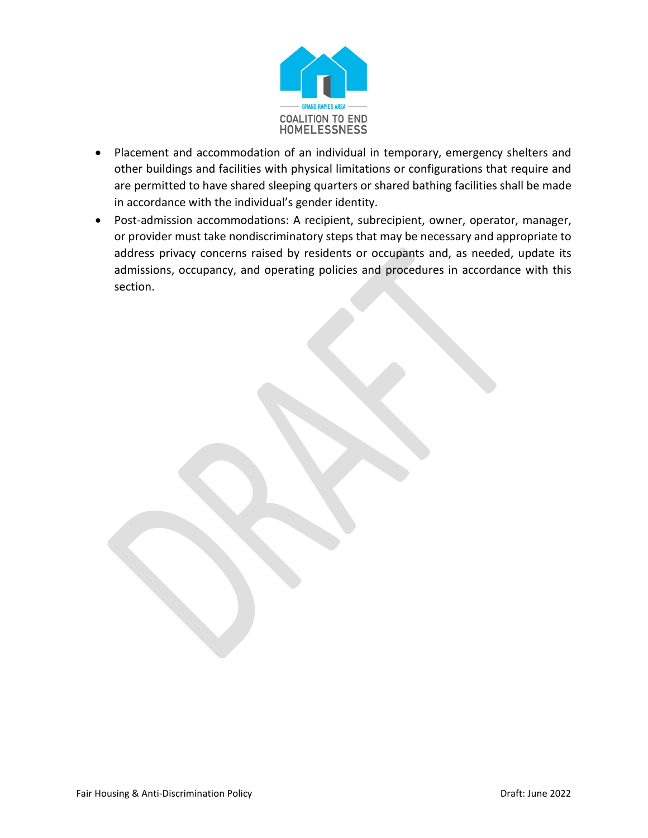

- Placement and accommodation of an individual in temporary, emergency shelters and other buildings and facilities with physical limitations or configurations that require and are permitted to have shared sleeping quarters or shared bathing facilities shall be made in accordance with the individual's gender identity.
- Post-admission accommodations: A recipient, subrecipient, owner, operator, manager, or provider must take nondiscriminatory steps that may be necessary and appropriate to address privacy concerns raised by residents or occupants and, as needed, update its admissions, occupancy, and operating policies and procedures in accordance with this section.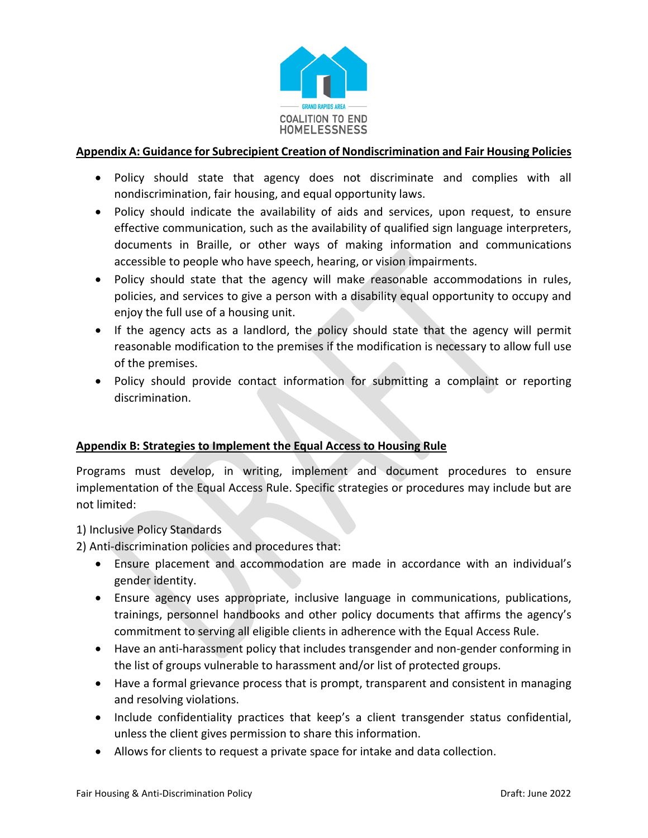

## **Appendix A: Guidance for Subrecipient Creation of Nondiscrimination and Fair Housing Policies**

- Policy should state that agency does not discriminate and complies with all nondiscrimination, fair housing, and equal opportunity laws.
- Policy should indicate the availability of aids and services, upon request, to ensure effective communication, such as the availability of qualified sign language interpreters, documents in Braille, or other ways of making information and communications accessible to people who have speech, hearing, or vision impairments.
- Policy should state that the agency will make reasonable accommodations in rules, policies, and services to give a person with a disability equal opportunity to occupy and enjoy the full use of a housing unit.
- If the agency acts as a landlord, the policy should state that the agency will permit reasonable modification to the premises if the modification is necessary to allow full use of the premises.
- Policy should provide contact information for submitting a complaint or reporting discrimination.

# **Appendix B: Strategies to Implement the Equal Access to Housing Rule**

Programs must develop, in writing, implement and document procedures to ensure implementation of the Equal Access Rule. Specific strategies or procedures may include but are not limited:

# 1) Inclusive Policy Standards

2) Anti-discrimination policies and procedures that:

- Ensure placement and accommodation are made in accordance with an individual's gender identity.
- Ensure agency uses appropriate, inclusive language in communications, publications, trainings, personnel handbooks and other policy documents that affirms the agency's commitment to serving all eligible clients in adherence with the Equal Access Rule.
- Have an anti-harassment policy that includes transgender and non-gender conforming in the list of groups vulnerable to harassment and/or list of protected groups.
- Have a formal grievance process that is prompt, transparent and consistent in managing and resolving violations.
- Include confidentiality practices that keep's a client transgender status confidential, unless the client gives permission to share this information.
- Allows for clients to request a private space for intake and data collection.